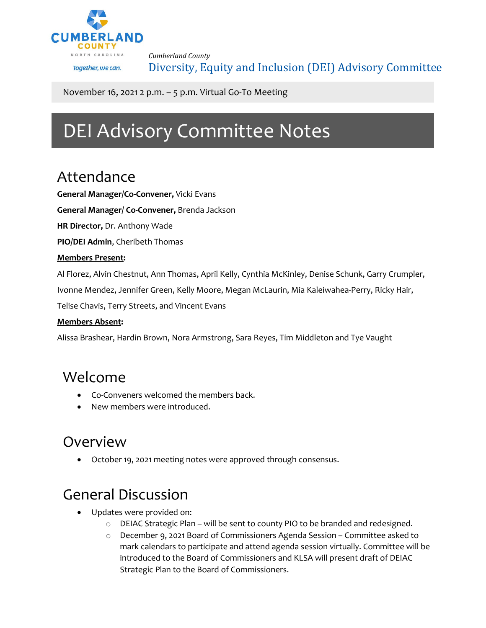

*Cumberland County* Diversity, Equity and Inclusion (DEI) Advisory Committee

November 16, 2021 2 p.m. – 5 p.m. Virtual Go-To Meeting

# DEI Advisory Committee Notes

## Attendance

**General Manager/Co-Convener,** Vicki Evans

**General Manager/ Co-Convener,** Brenda Jackson

**HR Director,** Dr. Anthony Wade

**PIO/DEI Admin**, Cheribeth Thomas

#### **Members Present:**

Al Florez, Alvin Chestnut, Ann Thomas, April Kelly, Cynthia McKinley, Denise Schunk, Garry Crumpler,

Ivonne Mendez, Jennifer Green, Kelly Moore, Megan McLaurin, Mia Kaleiwahea-Perry, Ricky Hair,

Telise Chavis, Terry Streets, and Vincent Evans

#### **Members Absent:**

Alissa Brashear, Hardin Brown, Nora Armstrong, Sara Reyes, Tim Middleton and Tye Vaught

### Welcome

- Co-Conveners welcomed the members back.
- New members were introduced.

### Overview

• October 19, 2021 meeting notes were approved through consensus.

# General Discussion

- Updates were provided on:
	- $\circ$  DEIAC Strategic Plan will be sent to county PIO to be branded and redesigned.
	- o December 9, 2021 Board of Commissioners Agenda Session Committee asked to mark calendars to participate and attend agenda session virtually. Committee will be introduced to the Board of Commissioners and KLSA will present draft of DEIAC Strategic Plan to the Board of Commissioners.